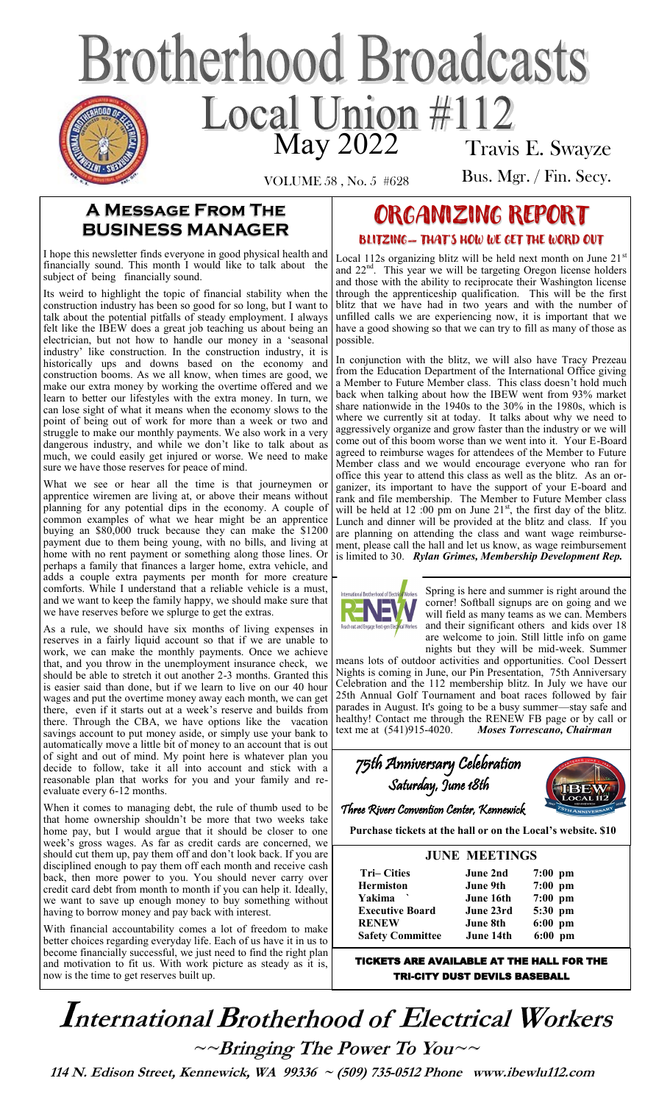# **Brotherhood Broadcasts** Local Union #112 Travis E. Swayze

VOLUME 58 , No. 5 #628

Bus. Mgr. / Fin. Secy.

#### **A Message From The BUSINESS MANAGER**

I hope this newsletter finds everyone in good physical health and financially sound. This month I would like to talk about the subject of being financially sound.

Its weird to highlight the topic of financial stability when the construction industry has been so good for so long, but I want to talk about the potential pitfalls of steady employment. I always felt like the IBEW does a great job teaching us about being an electrician, but not how to handle our money in a 'seasonal industry' like construction. In the construction industry, it is historically ups and downs based on the economy and construction booms. As we all know, when times are good, we make our extra money by working the overtime offered and we learn to better our lifestyles with the extra money. In turn, we can lose sight of what it means when the economy slows to the point of being out of work for more than a week or two and struggle to make our monthly payments. We also work in a very dangerous industry, and while we don't like to talk about as much, we could easily get injured or worse. We need to make sure we have those reserves for peace of mind.

What we see or hear all the time is that journeymen or apprentice wiremen are living at, or above their means without planning for any potential dips in the economy. A couple of common examples of what we hear might be an apprentice buying an \$80,000 truck because they can make the \$1200 payment due to them being young, with no bills, and living at home with no rent payment or something along those lines. Or perhaps a family that finances a larger home, extra vehicle, and adds a couple extra payments per month for more creature comforts. While I understand that a reliable vehicle is a must, and we want to keep the family happy, we should make sure that we have reserves before we splurge to get the extras.

As a rule, we should have six months of living expenses in reserves in a fairly liquid account so that if we are unable to work, we can make the monthly payments. Once we achieve that, and you throw in the unemployment insurance check, we should be able to stretch it out another 2-3 months. Granted this is easier said than done, but if we learn to live on our 40 hour wages and put the overtime money away each month, we can get there, even if it starts out at a week's reserve and builds from there. Through the CBA, we have options like the vacation savings account to put money aside, or simply use your bank to automatically move a little bit of money to an account that is out of sight and out of mind. My point here is whatever plan you decide to follow, take it all into account and stick with a reasonable plan that works for you and your family and reevaluate every 6-12 months.

When it comes to managing debt, the rule of thumb used to be that home ownership shouldn't be more that two weeks take home pay, but I would argue that it should be closer to one week's gross wages. As far as credit cards are concerned, we should cut them up, pay them off and don't look back. If you are disciplined enough to pay them off each month and receive cash back, then more power to you. You should never carry over credit card debt from month to month if you can help it. Ideally, we want to save up enough money to buy something without having to borrow money and pay back with interest.

With financial accountability comes a lot of freedom to make better choices regarding everyday life. Each of us have it in us to become financially successful, we just need to find the right plan and motivation to fit us. With work picture as steady as it is, now is the time to get reserves built up.

# ORGANIZING REPORT BLITZING— THAT'S HOW WE GET THE WORD OUT

Local 112s organizing blitz will be held next month on June  $21<sup>s</sup>$ and 22<sup>nd</sup>. This year we will be targeting Oregon license holders and those with the ability to reciprocate their Washington license through the apprenticeship qualification. This will be the first blitz that we have had in two years and with the number of unfilled calls we are experiencing now, it is important that we have a good showing so that we can try to fill as many of those as possible.

In conjunction with the blitz, we will also have Tracy Prezeau from the Education Department of the International Office giving a Member to Future Member class. This class doesn't hold much back when talking about how the IBEW went from 93% market share nationwide in the 1940s to the 30% in the 1980s, which is where we currently sit at today. It talks about why we need to aggressively organize and grow faster than the industry or we will come out of this boom worse than we went into it. Your E-Board agreed to reimburse wages for attendees of the Member to Future Member class and we would encourage everyone who ran for office this year to attend this class as well as the blitz. As an organizer, its important to have the support of your E-board and rank and file membership. The Member to Future Member class will be held at 12 :00 pm on June  $21^{st}$ , the first day of the blitz. Lunch and dinner will be provided at the blitz and class. If you are planning on attending the class and want wage reimbursement, please call the hall and let us know, as wage reimbursement is limited to 30. *Rylan Grimes, Membership Development Rep.* 



Spring is here and summer is right around the corner! Softball signups are on going and we will field as many teams as we can. Members and their significant others and kids over 18 are welcome to join. Still little info on game nights but they will be mid-week. Summer

means lots of outdoor activities and opportunities. Cool Dessert Nights is coming in June, our Pin Presentation, 75th Anniversary Celebration and the 112 membership blitz. In July we have our 25th Annual Golf Tournament and boat races followed by fair parades in August. It's going to be a busy summer—stay safe and healthy! Contact me through the RENEW FB page or by call or text me at (541)915-4020. *Moses Torrescano, Chairman* 

| 75th Anniversary Celebration              |  |
|-------------------------------------------|--|
| Saturday, June 18th                       |  |
| Three Rivers Convention Center, Kennewick |  |

**Purchase tickets at the hall or on the Local's website. \$10** 

| <b>JUNE MEETINGS</b>    |                 |                   |  |
|-------------------------|-----------------|-------------------|--|
| <b>Tri–Cities</b>       | June 2nd        | $7:00 \text{ pm}$ |  |
| <b>Hermiston</b>        | June 9th        | $7:00$ pm         |  |
| Yakima                  | June 16th       | $7:00$ pm         |  |
| <b>Executive Board</b>  | June 23rd       | 5:30 pm           |  |
| <b>RENEW</b>            | <b>June 8th</b> | $6:00$ pm         |  |
| <b>Safety Committee</b> | June 14th       | pm<br>6:00        |  |

TICKETS ARE AVAILABLE AT THE HALL FOR THE TRI-CITY DUST DEVILS BASEBALL

**International Brotherhood of Electrical Workers**  $\sim$ -Bringing The Power To You

 **114 N. Edison Street, Kennewick, WA 99336 ~ (509) 735-0512 Phone www.ibewlu112.com**